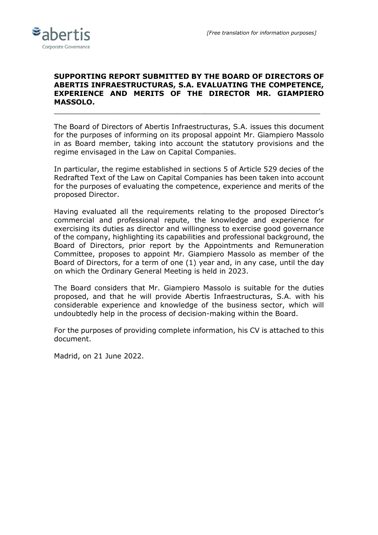

### **SUPPORTING REPORT SUBMITTED BY THE BOARD OF DIRECTORS OF ABERTIS INFRAESTRUCTURAS, S.A. EVALUATING THE COMPETENCE, EXPERIENCE AND MERITS OF THE DIRECTOR MR. GIAMPIERO MASSOLO.**

\_\_\_\_\_\_\_\_\_\_\_\_\_\_\_\_\_\_\_\_\_\_\_\_\_\_\_\_\_\_\_\_\_\_\_\_\_\_\_\_\_\_\_\_\_\_\_\_\_\_\_\_\_\_\_\_\_\_\_\_

The Board of Directors of Abertis Infraestructuras, S.A. issues this document for the purposes of informing on its proposal appoint Mr. Giampiero Massolo in as Board member, taking into account the statutory provisions and the regime envisaged in the Law on Capital Companies.

In particular, the regime established in sections 5 of Article 529 decies of the Redrafted Text of the Law on Capital Companies has been taken into account for the purposes of evaluating the competence, experience and merits of the proposed Director.

Having evaluated all the requirements relating to the proposed Director's commercial and professional repute, the knowledge and experience for exercising its duties as director and willingness to exercise good governance of the company, highlighting its capabilities and professional background, the Board of Directors, prior report by the Appointments and Remuneration Committee, proposes to appoint Mr. Giampiero Massolo as member of the Board of Directors, for a term of one (1) year and, in any case, until the day on which the Ordinary General Meeting is held in 2023.

The Board considers that Mr. Giampiero Massolo is suitable for the duties proposed, and that he will provide Abertis Infraestructuras, S.A. with his considerable experience and knowledge of the business sector, which will undoubtedly help in the process of decision-making within the Board.

For the purposes of providing complete information, his CV is attached to this document.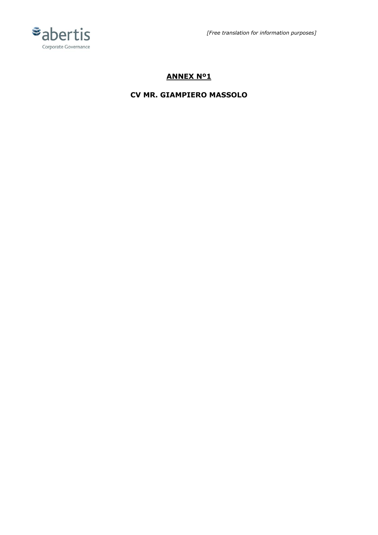



# **ANNEX Nº1**

## **CV MR. GIAMPIERO MASSOLO**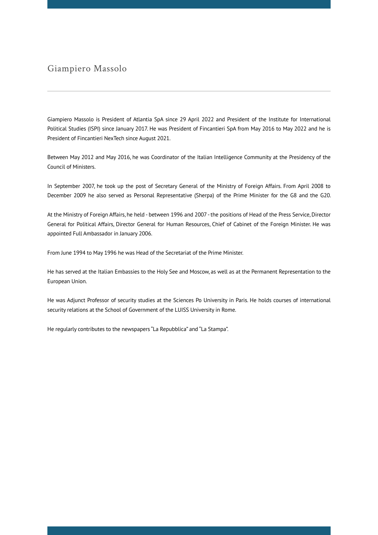## Giampiero Massolo

Giampiero Massolo is President of Atlantia SpA since 29 April 2022 and President of the Institute for International Political Studies (ISPI) since January 2017. He was President of Fincantieri SpA from May 2016 to May 2022 and he is President of Fincantieri NexTech since August 2021.

Between May 2012 and May 2016, he was Coordinator of the Italian Intelligence Community at the Presidency of the Council of Ministers.

In September 2007, he took up the post of Secretary General of the Ministry of Foreign Affairs. From April 2008 to December 2009 he also served as Personal Representative (Sherpa) of the Prime Minister for the G8 and the G20.

At the Ministry of Foreign Affairs, he held - between 1996 and 2007 - the positions of Head of the Press Service, Director General for Political Affairs, Director General for Human Resources, Chief of Cabinet of the Foreign Minister. He was appointed Full Ambassador in January 2006.

From June 1994 to May 1996 he was Head of the Secretariat of the Prime Minister.

He has served at the Italian Embassies to the Holy See and Moscow, as well as at the Permanent Representation to the European Union.

He was Adjunct Professor of security studies at the Sciences Po University in Paris. He holds courses of international security relations at the School of Government of the LUISS University in Rome.

He regularly contributes to the newspapers "La Repubblica" and "La Stampa".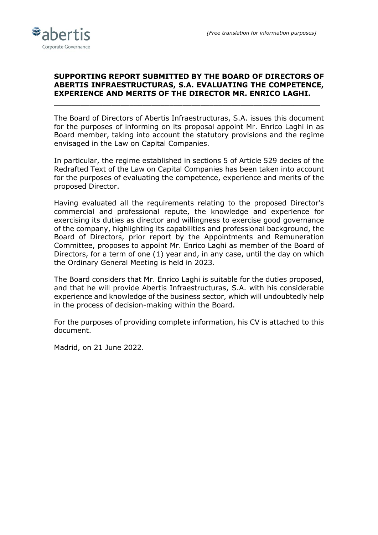

### **SUPPORTING REPORT SUBMITTED BY THE BOARD OF DIRECTORS OF ABERTIS INFRAESTRUCTURAS, S.A. EVALUATING THE COMPETENCE, EXPERIENCE AND MERITS OF THE DIRECTOR MR. ENRICO LAGHI.**

 $\_$  , and the set of the set of the set of the set of the set of the set of the set of the set of the set of the set of the set of the set of the set of the set of the set of the set of the set of the set of the set of th

The Board of Directors of Abertis Infraestructuras, S.A. issues this document for the purposes of informing on its proposal appoint Mr. Enrico Laghi in as Board member, taking into account the statutory provisions and the regime envisaged in the Law on Capital Companies.

In particular, the regime established in sections 5 of Article 529 decies of the Redrafted Text of the Law on Capital Companies has been taken into account for the purposes of evaluating the competence, experience and merits of the proposed Director.

Having evaluated all the requirements relating to the proposed Director's commercial and professional repute, the knowledge and experience for exercising its duties as director and willingness to exercise good governance of the company, highlighting its capabilities and professional background, the Board of Directors, prior report by the Appointments and Remuneration Committee, proposes to appoint Mr. Enrico Laghi as member of the Board of Directors, for a term of one (1) year and, in any case, until the day on which the Ordinary General Meeting is held in 2023.

The Board considers that Mr. Enrico Laghi is suitable for the duties proposed, and that he will provide Abertis Infraestructuras, S.A. with his considerable experience and knowledge of the business sector, which will undoubtedly help in the process of decision-making within the Board.

For the purposes of providing complete information, his CV is attached to this document.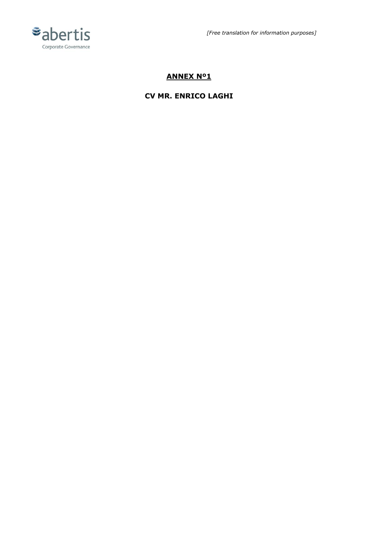

*[Free translation for information purposes]*

## **ANNEX Nº1**

### **CV MR. ENRICO LAGHI**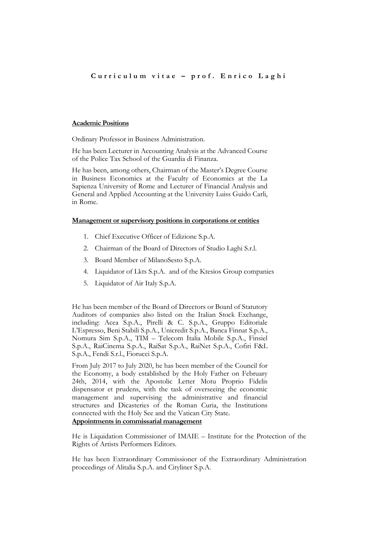#### **Academic Positions**

Ordinary Professor in Business Administration.

He has been Lecturer in Accounting Analysis at the Advanced Course of the Police Tax School of the Guardia di Finanza.

He has been, among others, Chairman of the Master's Degree Course in Business Economics at the Faculty of Economics at the La Sapienza University of Rome and Lecturer of Financial Analysis and General and Applied Accounting at the University Luiss Guido Carli, in Rome.

#### **Management or supervisory positions in corporations or entities**

- 1. Chief Executive Officer of Edizione S.p.A.
- 2. Chairman of the Board of Directors of Studio Laghi S.r.l.
- 3. Board Member of MilanoSesto S.p.A.
- 4. Liquidator of Lkts S.p.A. and of the Ktesios Group companies
- 5. Liquidator of Air Italy S.p.A.

He has been member of the Board of Directors or Board of Statutory Auditors of companies also listed on the Italian Stock Exchange, including: Acea S.p.A., Pirelli & C. S.p.A., Gruppo Editoriale L'Espresso, Beni Stabili S.p.A., Unicredit S.p.A., Banca Finnat S.p.A., Nomura Sim S.p.A., TIM – Telecom Italia Mobile S.p.A., Finsiel S.p.A., RaiCinema S.p.A., RaiSat S.p.A., RaiNet S.p.A., Cofiri F&L S.p.A., Fendi S.r.l., Fiorucci S.p.A.

From July 2017 to July 2020, he has been member of the Council for the Economy, a body established by the Holy Father on February 24th, 2014, with the Apostolic Letter Motu Proprio Fidelis dispensator et prudens, with the task of overseeing the economic management and supervising the administrative and financial structures and Dicasteries of the Roman Curia, the Institutions connected with the Holy See and the Vatican City State.

#### **Appointments in commissarial management**

He is Liquidation Commissioner of IMAIE – Institute for the Protection of the Rights of Artists Performers Editors.

He has been Extraordinary Commissioner of the Extraordinary Administration proceedings of Alitalia S.p.A. and Cityliner S.p.A.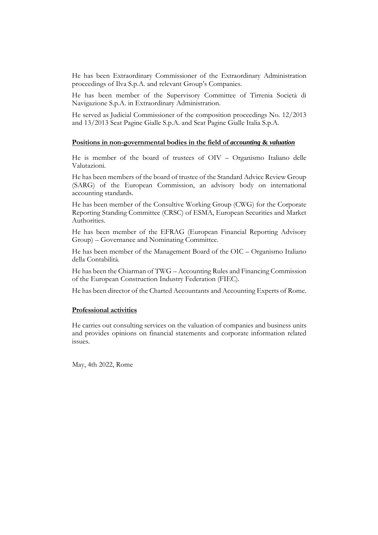He has been Extraordinary Commissioner of the Extraordinary Administration proceedings of Ilva S.p.A. and relevant Group's Companies.

He has been member of the Supervisory Committee of Tirrenia Società di Navigazione S.p.A. in Extraordinary Administration.

He served as Judicial Commissioner of the composition proceedings No. 12/2013 and 13/2013 Seat Pagine Gialle S.p.A. and Seat Pagine Gialle Italia S.p.A.

#### **Positions in non-governmental bodies in the field of** *accounting* **&** *valuation*

He is member of the board of trustees of OIV – Organismo Italiano delle Valutazioni.

He has been members of the board of trustee of the Standard Advice Review Group (SARG) of the European Commission, an advisory body on international accounting standards.

He has been member of the Consultive Working Group (CWG) for the Corporate Reporting Standing Committee (CRSC) of ESMA, European Securities and Market Authorities.

He has been member of the EFRAG (European Financial Reporting Advisory Group) – Governance and Nominating Committee.

He has been member of the Management Board of the OIC – Organismo Italiano della Contabilità.

He has been the Chiarman of TWG – Accounting Rules and Financing Commission of the European Construction Industry Federation (FIEC).

He has been director of the Charted Accountants and Accounting Experts of Rome.

#### **Professional activities**

He carries out consulting services on the valuation of companies and business units and provides opinions on financial statements and corporate information related issues.

May, 4th 2022, Rome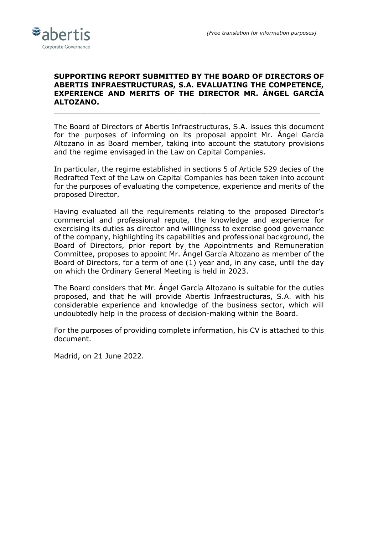

### **SUPPORTING REPORT SUBMITTED BY THE BOARD OF DIRECTORS OF ABERTIS INFRAESTRUCTURAS, S.A. EVALUATING THE COMPETENCE, EXPERIENCE AND MERITS OF THE DIRECTOR MR. ÁNGEL GARCÍA ALTOZANO.**

\_\_\_\_\_\_\_\_\_\_\_\_\_\_\_\_\_\_\_\_\_\_\_\_\_\_\_\_\_\_\_\_\_\_\_\_\_\_\_\_\_\_\_\_\_\_\_\_\_\_\_\_\_\_\_\_\_\_\_\_

The Board of Directors of Abertis Infraestructuras, S.A. issues this document for the purposes of informing on its proposal appoint Mr. Ángel García Altozano in as Board member, taking into account the statutory provisions and the regime envisaged in the Law on Capital Companies.

In particular, the regime established in sections 5 of Article 529 decies of the Redrafted Text of the Law on Capital Companies has been taken into account for the purposes of evaluating the competence, experience and merits of the proposed Director.

Having evaluated all the requirements relating to the proposed Director's commercial and professional repute, the knowledge and experience for exercising its duties as director and willingness to exercise good governance of the company, highlighting its capabilities and professional background, the Board of Directors, prior report by the Appointments and Remuneration Committee, proposes to appoint Mr. Ángel García Altozano as member of the Board of Directors, for a term of one (1) year and, in any case, until the day on which the Ordinary General Meeting is held in 2023.

The Board considers that Mr. Ángel García Altozano is suitable for the duties proposed, and that he will provide Abertis Infraestructuras, S.A. with his considerable experience and knowledge of the business sector, which will undoubtedly help in the process of decision-making within the Board.

For the purposes of providing complete information, his CV is attached to this document.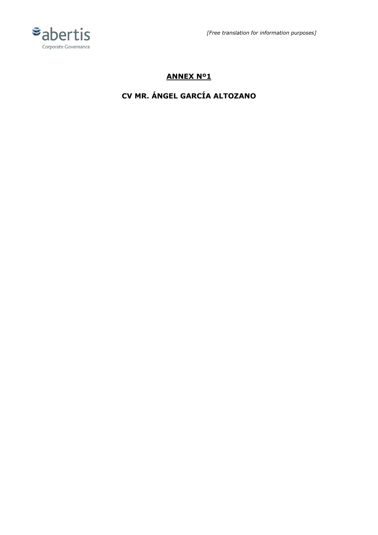



## **ANNEX Nº1**

# **CV MR. ÁNGEL GARCÍA ALTOZANO**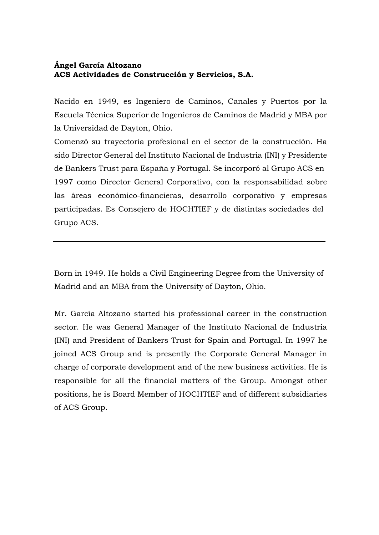### **Ángel García Altozano ACS Actividades de Construcción y Servicios, S.A.**

Nacido en 1949, es Ingeniero de Caminos, Canales y Puertos por la Escuela Técnica Superior de Ingenieros de Caminos de Madrid y MBA por la Universidad de Dayton, Ohio.

Comenzó su trayectoria profesional en el sector de la construcción. Ha sido Director General del Instituto Nacional de Industria (INI) y Presidente de Bankers Trust para España y Portugal. Se incorporó al Grupo ACS en 1997 como Director General Corporativo, con la responsabilidad sobre las áreas económico-financieras, desarrollo corporativo y empresas participadas. Es Consejero de HOCHTIEF y de distintas sociedades del Grupo ACS.

Born in 1949. He holds a Civil Engineering Degree from the University of Madrid and an MBA from the University of Dayton, Ohio.

Mr. García Altozano started his professional career in the construction sector. He was General Manager of the Instituto Nacional de Industria (INI) and President of Bankers Trust for Spain and Portugal. In 1997 he joined ACS Group and is presently the Corporate General Manager in charge of corporate development and of the new business activities. He is responsible for all the financial matters of the Group. Amongst other positions, he is Board Member of HOCHTIEF and of different subsidiaries of ACS Group.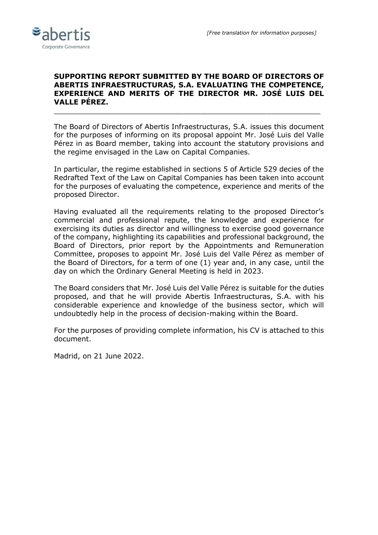

### **SUPPORTING REPORT SUBMITTED BY THE BOARD OF DIRECTORS OF ABERTIS INFRAESTRUCTURAS, S.A. EVALUATING THE COMPETENCE, EXPERIENCE AND MERITS OF THE DIRECTOR MR. JOSÉ LUIS DEL VALLE PÉREZ.**

 $\_$  . The contribution of the contribution of  $\mathcal{L}_\mathcal{A}$  , and the contribution of  $\mathcal{L}_\mathcal{A}$  , and the contribution of  $\mathcal{L}_\mathcal{A}$ 

The Board of Directors of Abertis Infraestructuras, S.A. issues this document for the purposes of informing on its proposal appoint Mr. José Luis del Valle Pérez in as Board member, taking into account the statutory provisions and the regime envisaged in the Law on Capital Companies.

In particular, the regime established in sections 5 of Article 529 decies of the Redrafted Text of the Law on Capital Companies has been taken into account for the purposes of evaluating the competence, experience and merits of the proposed Director.

Having evaluated all the requirements relating to the proposed Director's commercial and professional repute, the knowledge and experience for exercising its duties as director and willingness to exercise good governance of the company, highlighting its capabilities and professional background, the Board of Directors, prior report by the Appointments and Remuneration Committee, proposes to appoint Mr. José Luis del Valle Pérez as member of the Board of Directors, for a term of one (1) year and, in any case, until the day on which the Ordinary General Meeting is held in 2023.

The Board considers that Mr. José Luis del Valle Pérez is suitable for the duties proposed, and that he will provide Abertis Infraestructuras, S.A. with his considerable experience and knowledge of the business sector, which will undoubtedly help in the process of decision-making within the Board.

For the purposes of providing complete information, his CV is attached to this document.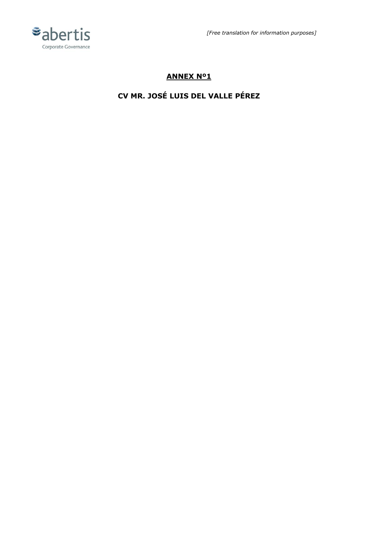



## **ANNEX Nº1**

# **CV MR. JOSÉ LUIS DEL VALLE PÉREZ**